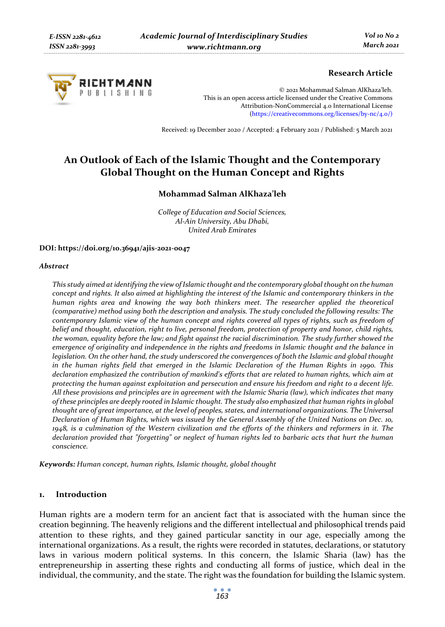

# **Research Article**

© 2021 Mohammad Salman AlKhaza'leh. This is an open access article licensed under the Creative Commons Attribution-NonCommercial 4.0 International License (https://creativecommons.org/licenses/by-nc/4.0/)

Received: 19 December 2020 / Accepted: 4 February 2021 / Published: 5 March 2021

# **An Outlook of Each of the Islamic Thought and the Contemporary Global Thought on the Human Concept and Rights**

## **Mohammad Salman AlKhaza'leh**

*College of Education and Social Sciences, Al-Ain University, Abu Dhabi, United Arab Emirates* 

### **DOI: https://doi.org/10.36941/ajis-2021-0047**

### *Abstract*

*This study aimed at identifying the view of Islamic thought and the contemporary global thought on the human concept and rights. It also aimed at highlighting the interest of the Islamic and contemporary thinkers in the human rights area and knowing the way both thinkers meet. The researcher applied the theoretical (comparative) method using both the description and analysis. The study concluded the following results: The contemporary Islamic view of the human concept and rights covered all types of rights, such as freedom of belief and thought, education, right to live, personal freedom, protection of property and honor, child rights, the woman, equality before the law; and fight against the racial discrimination. The study further showed the emergence of originality and independence in the rights and freedoms in Islamic thought and the balance in legislation. On the other hand, the study underscored the convergences of both the Islamic and global thought in the human rights field that emerged in the Islamic Declaration of the Human Rights in 1990. This declaration emphasized the contribution of mankind's efforts that are related to human rights, which aim at protecting the human against exploitation and persecution and ensure his freedom and right to a decent life. All these provisions and principles are in agreement with the Islamic Sharia (law), which indicates that many of these principles are deeply rooted in Islamic thought. The study also emphasized that human rights in global thought are of great importance, at the level of peoples, states, and international organizations. The Universal Declaration of Human Rights, which was issued by the General Assembly of the United Nations on Dec. 10, 1948, is a culmination of the Western civilization and the efforts of the thinkers and reformers in it. The declaration provided that "forgetting" or neglect of human rights led to barbaric acts that hurt the human conscience.* 

*Keywords: Human concept, human rights, Islamic thought, global thought* 

## **1. Introduction**

Human rights are a modern term for an ancient fact that is associated with the human since the creation beginning. The heavenly religions and the different intellectual and philosophical trends paid attention to these rights, and they gained particular sanctity in our age, especially among the international organizations. As a result, the rights were recorded in statutes, declarations, or statutory laws in various modern political systems. In this concern, the Islamic Sharia (law) has the entrepreneurship in asserting these rights and conducting all forms of justice, which deal in the individual, the community, and the state. The right was the foundation for building the Islamic system.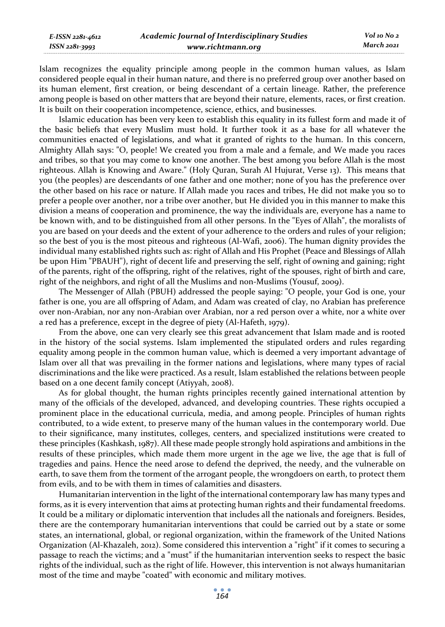| E-ISSN 2281-4612 | <b>Academic Journal of Interdisciplinary Studies</b> | Vol 10 No 2 |
|------------------|------------------------------------------------------|-------------|
| ISSN 2281-3993   | www.richtmann.org                                    | March 2021  |

Islam recognizes the equality principle among people in the common human values, as Islam considered people equal in their human nature, and there is no preferred group over another based on its human element, first creation, or being descendant of a certain lineage. Rather, the preference among people is based on other matters that are beyond their nature, elements, races, or first creation. It is built on their cooperation incompetence, science, ethics, and businesses.

Islamic education has been very keen to establish this equality in its fullest form and made it of the basic beliefs that every Muslim must hold. It further took it as a base for all whatever the communities enacted of legislations, and what it granted of rights to the human. In this concern, Almighty Allah says: "O, people! We created you from a male and a female, and We made you races and tribes, so that you may come to know one another. The best among you before Allah is the most righteous. Allah is Knowing and Aware." (Holy Quran, Surah Al Hujurat, Verse 13). This means that you (the peoples) are descendants of one father and one mother; none of you has the preference over the other based on his race or nature. If Allah made you races and tribes, He did not make you so to prefer a people over another, nor a tribe over another, but He divided you in this manner to make this division a means of cooperation and prominence, the way the individuals are, everyone has a name to be known with, and to be distinguished from all other persons. In the "Eyes of Allah", the moralists of you are based on your deeds and the extent of your adherence to the orders and rules of your religion; so the best of you is the most piteous and righteous (Al-Wafi, 2006). The human dignity provides the individual many established rights such as: right of Allah and His Prophet (Peace and Blessings of Allah be upon Him "PBAUH"), right of decent life and preserving the self, right of owning and gaining; right of the parents, right of the offspring, right of the relatives, right of the spouses, right of birth and care, right of the neighbors, and right of all the Muslims and non-Muslims (Yousuf, 2009).

The Messenger of Allah (PBUH) addressed the people saying: "O people, your God is one, your father is one, you are all offspring of Adam, and Adam was created of clay, no Arabian has preference over non-Arabian, nor any non-Arabian over Arabian, nor a red person over a white, nor a white over a red has a preference, except in the degree of piety (Al-Hafeth, 1979).

From the above, one can very clearly see this great advancement that Islam made and is rooted in the history of the social systems. Islam implemented the stipulated orders and rules regarding equality among people in the common human value, which is deemed a very important advantage of Islam over all that was prevailing in the former nations and legislations, where many types of racial discriminations and the like were practiced. As a result, Islam established the relations between people based on a one decent family concept (Atiyyah, 2008).

As for global thought, the human rights principles recently gained international attention by many of the officials of the developed, advanced, and developing countries. These rights occupied a prominent place in the educational curricula, media, and among people. Principles of human rights contributed, to a wide extent, to preserve many of the human values in the contemporary world. Due to their significance, many institutes, colleges, centers, and specialized institutions were created to these principles (Kashkash, 1987). All these made people strongly hold aspirations and ambitions in the results of these principles, which made them more urgent in the age we live, the age that is full of tragedies and pains. Hence the need arose to defend the deprived, the needy, and the vulnerable on earth, to save them from the torment of the arrogant people, the wrongdoers on earth, to protect them from evils, and to be with them in times of calamities and disasters.

Humanitarian intervention in the light of the international contemporary law has many types and forms, as it is every intervention that aims at protecting human rights and their fundamental freedoms. It could be a military or diplomatic intervention that includes all the nationals and foreigners. Besides, there are the contemporary humanitarian interventions that could be carried out by a state or some states, an international, global, or regional organization, within the framework of the United Nations Organization (Al-Khazaleh, 2012). Some considered this intervention a "right" if it comes to securing a passage to reach the victims; and a "must" if the humanitarian intervention seeks to respect the basic rights of the individual, such as the right of life. However, this intervention is not always humanitarian most of the time and maybe "coated" with economic and military motives.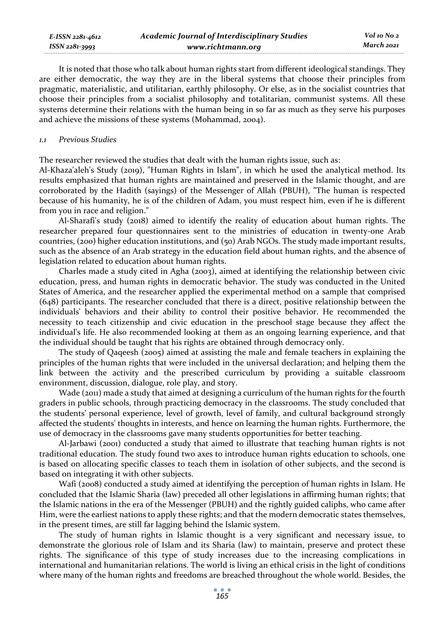| E-ISSN 2281-4612 | <b>Academic Journal of Interdisciplinary Studies</b> | Vol 10 No 2 |
|------------------|------------------------------------------------------|-------------|
| ISSN 2281-3993   | www.richtmann.org                                    | March 2021  |

It is noted that those who talk about human rights start from different ideological standings. They are either democratic, the way they are in the liberal systems that choose their principles from pragmatic, materialistic, and utilitarian, earthly philosophy. Or else, as in the socialist countries that choose their principles from a socialist philosophy and totalitarian, communist systems. All these systems determine their relations with the human being in so far as much as they serve his purposes and achieve the missions of these systems (Mohammad, 2004).

### *1.1 Previous Studies*

The researcher reviewed the studies that dealt with the human rights issue, such as:

Al-Khaza'aleh's Study (2019), "Human Rights in Islam", in which he used the analytical method. Its results emphasized that human rights are maintained and preserved in the Islamic thought, and are corroborated by the Hadith (sayings) of the Messenger of Allah (PBUH), "The human is respected because of his humanity, he is of the children of Adam, you must respect him, even if he is different from you in race and religion."

Al-Sharafi's study (2018) aimed to identify the reality of education about human rights. The researcher prepared four questionnaires sent to the ministries of education in twenty-one Arab countries, (200) higher education institutions, and (50) Arab NGOs. The study made important results, such as the absence of an Arab strategy in the education field about human rights, and the absence of legislation related to education about human rights.

Charles made a study cited in Agha (2003), aimed at identifying the relationship between civic education, press, and human rights in democratic behavior. The study was conducted in the United States of America, and the researcher applied the experimental method on a sample that comprised (648) participants. The researcher concluded that there is a direct, positive relationship between the individuals' behaviors and their ability to control their positive behavior. He recommended the necessity to teach citizenship and civic education in the preschool stage because they affect the individual's life. He also recommended looking at them as an ongoing learning experience, and that the individual should be taught that his rights are obtained through democracy only.

The study of Qaqeesh (2005) aimed at assisting the male and female teachers in explaining the principles of the human rights that were included in the universal declaration; and helping them the link between the activity and the prescribed curriculum by providing a suitable classroom environment, discussion, dialogue, role play, and story.

Wade (2011) made a study that aimed at designing a curriculum of the human rights for the fourth graders in public schools, through practicing democracy in the classrooms. The study concluded that the students' personal experience, level of growth, level of family, and cultural background strongly affected the students' thoughts in interests, and hence on learning the human rights. Furthermore, the use of democracy in the classrooms gave many students opportunities for better teaching.

Al-Jarbawi (2001) conducted a study that aimed to illustrate that teaching human rights is not traditional education. The study found two axes to introduce human rights education to schools, one is based on allocating specific classes to teach them in isolation of other subjects, and the second is based on integrating it with other subjects.

Wafi (2008) conducted a study aimed at identifying the perception of human rights in Islam. He concluded that the Islamic Sharia (law) preceded all other legislations in affirming human rights; that the Islamic nations in the era of the Messenger (PBUH) and the rightly guided caliphs, who came after Him, were the earliest nations to apply these rights; and that the modern democratic states themselves, in the present times, are still far lagging behind the Islamic system.

The study of human rights in Islamic thought is a very significant and necessary issue, to demonstrate the glorious role of Islam and its Sharia (law) to maintain, preserve and protect these rights. The significance of this type of study increases due to the increasing complications in international and humanitarian relations. The world is living an ethical crisis in the light of conditions where many of the human rights and freedoms are breached throughout the whole world. Besides, the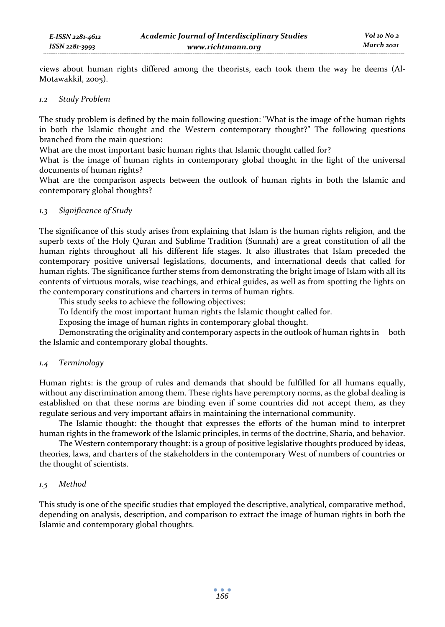views about human rights differed among the theorists, each took them the way he deems (Al-Motawakkil, 2005).

### *1.2 Study Problem*

The study problem is defined by the main following question: "What is the image of the human rights in both the Islamic thought and the Western contemporary thought?" The following questions branched from the main question:

What are the most important basic human rights that Islamic thought called for?

What is the image of human rights in contemporary global thought in the light of the universal documents of human rights?

What are the comparison aspects between the outlook of human rights in both the Islamic and contemporary global thoughts?

# *1.3 Significance of Study*

The significance of this study arises from explaining that Islam is the human rights religion, and the superb texts of the Holy Quran and Sublime Tradition (Sunnah) are a great constitution of all the human rights throughout all his different life stages. It also illustrates that Islam preceded the contemporary positive universal legislations, documents, and international deeds that called for human rights. The significance further stems from demonstrating the bright image of Islam with all its contents of virtuous morals, wise teachings, and ethical guides, as well as from spotting the lights on the contemporary constitutions and charters in terms of human rights.

This study seeks to achieve the following objectives:

To Identify the most important human rights the Islamic thought called for.

Exposing the image of human rights in contemporary global thought.

Demonstrating the originality and contemporary aspects in the outlook of human rights in both the Islamic and contemporary global thoughts.

# *1.4 Terminology*

Human rights: is the group of rules and demands that should be fulfilled for all humans equally, without any discrimination among them. These rights have peremptory norms, as the global dealing is established on that these norms are binding even if some countries did not accept them, as they regulate serious and very important affairs in maintaining the international community.

The Islamic thought: the thought that expresses the efforts of the human mind to interpret human rights in the framework of the Islamic principles, in terms of the doctrine, Sharia, and behavior.

The Western contemporary thought: is a group of positive legislative thoughts produced by ideas, theories, laws, and charters of the stakeholders in the contemporary West of numbers of countries or the thought of scientists.

### *1.5 Method*

This study is one of the specific studies that employed the descriptive, analytical, comparative method, depending on analysis, description, and comparison to extract the image of human rights in both the Islamic and contemporary global thoughts.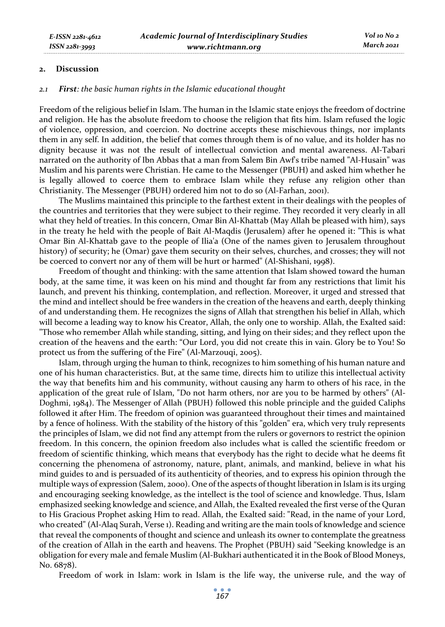### **2. Discussion**

### *2.1 First: the basic human rights in the Islamic educational thought*

Freedom of the religious belief in Islam. The human in the Islamic state enjoys the freedom of doctrine and religion. He has the absolute freedom to choose the religion that fits him. Islam refused the logic of violence, oppression, and coercion. No doctrine accepts these mischievous things, nor implants them in any self. In addition, the belief that comes through them is of no value, and its holder has no dignity because it was not the result of intellectual conviction and mental awareness. Al-Tabari narrated on the authority of Ibn Abbas that a man from Salem Bin Awf's tribe named "Al-Husain" was Muslim and his parents were Christian. He came to the Messenger (PBUH) and asked him whether he is legally allowed to coerce them to embrace Islam while they refuse any religion other than Christianity. The Messenger (PBUH) ordered him not to do so (Al-Farhan, 2001).

The Muslims maintained this principle to the farthest extent in their dealings with the peoples of the countries and territories that they were subject to their regime. They recorded it very clearly in all what they held of treaties. In this concern, Omar Bin Al-Khattab (May Allah be pleased with him), says in the treaty he held with the people of Bait Al-Maqdis (Jerusalem) after he opened it: "This is what Omar Bin Al-Khattab gave to the people of Ilia'a (One of the names given to Jerusalem throughout history) of security; he (Omar) gave them security on their selves, churches, and crosses; they will not be coerced to convert nor any of them will be hurt or harmed" (Al-Shishani, 1998).

Freedom of thought and thinking: with the same attention that Islam showed toward the human body, at the same time, it was keen on his mind and thought far from any restrictions that limit his launch, and prevent his thinking, contemplation, and reflection. Moreover, it urged and stressed that the mind and intellect should be free wanders in the creation of the heavens and earth, deeply thinking of and understanding them. He recognizes the signs of Allah that strengthen his belief in Allah, which will become a leading way to know his Creator, Allah, the only one to worship. Allah, the Exalted said: "Those who remember Allah while standing, sitting, and lying on their sides; and they reflect upon the creation of the heavens and the earth: "Our Lord, you did not create this in vain. Glory be to You! So protect us from the suffering of the Fire" (Al-Marzouqi, 2005).

Islam, through urging the human to think, recognizes to him something of his human nature and one of his human characteristics. But, at the same time, directs him to utilize this intellectual activity the way that benefits him and his community, without causing any harm to others of his race, in the application of the great rule of Islam, "Do not harm others, nor are you to be harmed by others" (Al-Doghmi, 1984). The Messenger of Allah (PBUH) followed this noble principle and the guided Caliphs followed it after Him. The freedom of opinion was guaranteed throughout their times and maintained by a fence of holiness. With the stability of the history of this "golden" era, which very truly represents the principles of Islam, we did not find any attempt from the rulers or governors to restrict the opinion freedom. In this concern, the opinion freedom also includes what is called the scientific freedom or freedom of scientific thinking, which means that everybody has the right to decide what he deems fit concerning the phenomena of astronomy, nature, plant, animals, and mankind, believe in what his mind guides to and is persuaded of its authenticity of theories, and to express his opinion through the multiple ways of expression (Salem, 2000). One of the aspects of thought liberation in Islam is its urging and encouraging seeking knowledge, as the intellect is the tool of science and knowledge. Thus, Islam emphasized seeking knowledge and science, and Allah, the Exalted revealed the first verse of the Quran to His Gracious Prophet asking Him to read. Allah, the Exalted said: "Read, in the name of your Lord, who created" (Al-Alaq Surah, Verse 1). Reading and writing are the main tools of knowledge and science that reveal the components of thought and science and unleash its owner to contemplate the greatness of the creation of Allah in the earth and heavens. The Prophet (PBUH) said "Seeking knowledge is an obligation for every male and female Muslim (Al-Bukhari authenticated it in the Book of Blood Moneys, No. 6878).

Freedom of work in Islam: work in Islam is the life way, the universe rule, and the way of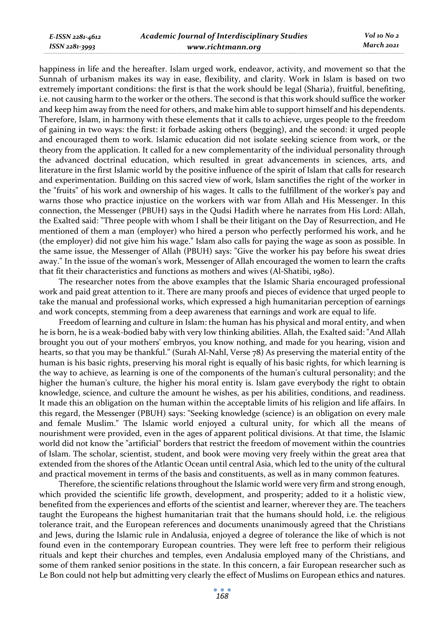*E-ISSN 2281-4612 ISSN 2281-3993* 

happiness in life and the hereafter. Islam urged work, endeavor, activity, and movement so that the Sunnah of urbanism makes its way in ease, flexibility, and clarity. Work in Islam is based on two extremely important conditions: the first is that the work should be legal (Sharia), fruitful, benefiting, i.e. not causing harm to the worker or the others. The second is that this work should suffice the worker and keep him away from the need for others, and make him able to support himself and his dependents. Therefore, Islam, in harmony with these elements that it calls to achieve, urges people to the freedom of gaining in two ways: the first: it forbade asking others (begging), and the second: it urged people and encouraged them to work. Islamic education did not isolate seeking science from work, or the theory from the application. It called for a new complementarity of the individual personality through the advanced doctrinal education, which resulted in great advancements in sciences, arts, and literature in the first Islamic world by the positive influence of the spirit of Islam that calls for research and experimentation. Building on this sacred view of work, Islam sanctifies the right of the worker in the "fruits" of his work and ownership of his wages. It calls to the fulfillment of the worker's pay and warns those who practice injustice on the workers with war from Allah and His Messenger. In this connection, the Messenger (PBUH) says in the Qudsi Hadith where he narrates from His Lord: Allah, the Exalted said: "Three people with whom I shall be their litigant on the Day of Resurrection, and He mentioned of them a man (employer) who hired a person who perfectly performed his work, and he (the employer) did not give him his wage." Islam also calls for paying the wage as soon as possible. In the same issue, the Messenger of Allah (PBUH) says: "Give the worker his pay before his sweat dries away." In the issue of the woman's work, Messenger of Allah encouraged the women to learn the crafts that fit their characteristics and functions as mothers and wives (Al-Shatibi, 1980).

The researcher notes from the above examples that the Islamic Sharia encouraged professional work and paid great attention to it. There are many proofs and pieces of evidence that urged people to take the manual and professional works, which expressed a high humanitarian perception of earnings and work concepts, stemming from a deep awareness that earnings and work are equal to life.

Freedom of learning and culture in Islam: the human has his physical and moral entity, and when he is born, he is a weak-bodied baby with very low thinking abilities. Allah, the Exalted said: "And Allah brought you out of your mothers' embryos, you know nothing, and made for you hearing, vision and hearts, so that you may be thankful." (Surah Al-Nahl, Verse 78) As preserving the material entity of the human is his basic rights, preserving his moral right is equally of his basic rights, for which learning is the way to achieve, as learning is one of the components of the human's cultural personality; and the higher the human's culture, the higher his moral entity is. Islam gave everybody the right to obtain knowledge, science, and culture the amount he wishes, as per his abilities, conditions, and readiness. It made this an obligation on the human within the acceptable limits of his religion and life affairs. In this regard, the Messenger (PBUH) says: "Seeking knowledge (science) is an obligation on every male and female Muslim." The Islamic world enjoyed a cultural unity, for which all the means of nourishment were provided, even in the ages of apparent political divisions. At that time, the Islamic world did not know the "artificial" borders that restrict the freedom of movement within the countries of Islam. The scholar, scientist, student, and book were moving very freely within the great area that extended from the shores of the Atlantic Ocean until central Asia, which led to the unity of the cultural and practical movement in terms of the basis and constituents, as well as in many common features.

Therefore, the scientific relations throughout the Islamic world were very firm and strong enough, which provided the scientific life growth, development, and prosperity; added to it a holistic view, benefited from the experiences and efforts of the scientist and learner, wherever they are. The teachers taught the Europeans the highest humanitarian trait that the humans should hold, i.e. the religious tolerance trait, and the European references and documents unanimously agreed that the Christians and Jews, during the Islamic rule in Andalusia, enjoyed a degree of tolerance the like of which is not found even in the contemporary European countries. They were left free to perform their religious rituals and kept their churches and temples, even Andalusia employed many of the Christians, and some of them ranked senior positions in the state. In this concern, a fair European researcher such as Le Bon could not help but admitting very clearly the effect of Muslims on European ethics and natures.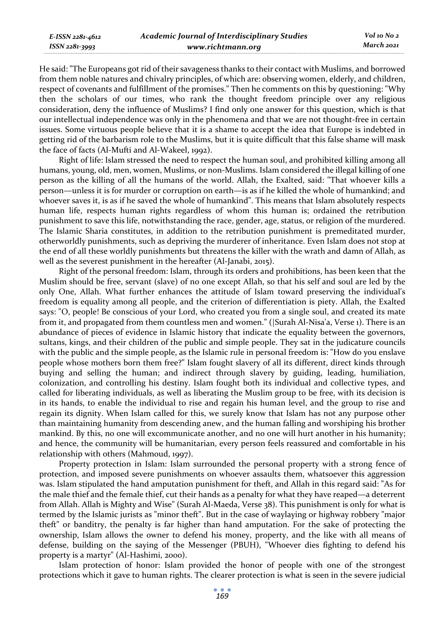| E-ISSN 2281-4612 | <b>Academic Journal of Interdisciplinary Studies</b> | Vol 10 No 2 |
|------------------|------------------------------------------------------|-------------|
| ISSN 2281-3993   | www.richtmann.org                                    | March 2021  |

He said: "The Europeans got rid of their savageness thanks to their contact with Muslims, and borrowed from them noble natures and chivalry principles, of which are: observing women, elderly, and children, respect of covenants and fulfillment of the promises." Then he comments on this by questioning: "Why then the scholars of our times, who rank the thought freedom principle over any religious consideration, deny the influence of Muslims? I find only one answer for this question, which is that our intellectual independence was only in the phenomena and that we are not thought-free in certain issues. Some virtuous people believe that it is a shame to accept the idea that Europe is indebted in getting rid of the barbarism role to the Muslims, but it is quite difficult that this false shame will mask the face of facts (Al-Mufti and Al-Wakeel, 1992).

Right of life: Islam stressed the need to respect the human soul, and prohibited killing among all humans, young, old, men, women, Muslims, or non-Muslims. Islam considered the illegal killing of one person as the killing of all the humans of the world. Allah, the Exalted, said: "That whoever kills a person—unless it is for murder or corruption on earth—is as if he killed the whole of humankind; and whoever saves it, is as if he saved the whole of humankind". This means that Islam absolutely respects human life, respects human rights regardless of whom this human is; ordained the retribution punishment to save this life, notwithstanding the race, gender, age, status, or religion of the murdered. The Islamic Sharia constitutes, in addition to the retribution punishment is premeditated murder, otherworldly punishments, such as depriving the murderer of inheritance. Even Islam does not stop at the end of all these worldly punishments but threatens the killer with the wrath and damn of Allah, as well as the severest punishment in the hereafter (Al-Janabi, 2015).

Right of the personal freedom: Islam, through its orders and prohibitions, has been keen that the Muslim should be free, servant (slave) of no one except Allah, so that his self and soul are led by the only One, Allah. What further enhances the attitude of Islam toward preserving the individual's freedom is equality among all people, and the criterion of differentiation is piety. Allah, the Exalted says: "O, people! Be conscious of your Lord, who created you from a single soul, and created its mate from it, and propagated from them countless men and women." (|Surah Al-Nisa'a, Verse 1). There is an abundance of pieces of evidence in Islamic history that indicate the equality between the governors, sultans, kings, and their children of the public and simple people. They sat in the judicature councils with the public and the simple people, as the Islamic rule in personal freedom is: "How do you enslave people whose mothers born them free?" Islam fought slavery of all its different, direct kinds through buying and selling the human; and indirect through slavery by guiding, leading, humiliation, colonization, and controlling his destiny. Islam fought both its individual and collective types, and called for liberating individuals, as well as liberating the Muslim group to be free, with its decision is in its hands, to enable the individual to rise and regain his human level, and the group to rise and regain its dignity. When Islam called for this, we surely know that Islam has not any purpose other than maintaining humanity from descending anew, and the human falling and worshiping his brother mankind. By this, no one will excommunicate another, and no one will hurt another in his humanity; and hence, the community will be humanitarian, every person feels reassured and comfortable in his relationship with others (Mahmoud, 1997).

Property protection in Islam: Islam surrounded the personal property with a strong fence of protection, and imposed severe punishments on whoever assaults them, whatsoever this aggression was. Islam stipulated the hand amputation punishment for theft, and Allah in this regard said: "As for the male thief and the female thief, cut their hands as a penalty for what they have reaped—a deterrent from Allah. Allah is Mighty and Wise" (Surah Al-Maeda, Verse 38). This punishment is only for what is termed by the Islamic jurists as "minor theft". But in the case of waylaying or highway robbery "major theft" or banditry, the penalty is far higher than hand amputation. For the sake of protecting the ownership, Islam allows the owner to defend his money, property, and the like with all means of defense, building on the saying of the Messenger (PBUH), "Whoever dies fighting to defend his property is a martyr" (Al-Hashimi, 2000).

Islam protection of honor: Islam provided the honor of people with one of the strongest protections which it gave to human rights. The clearer protection is what is seen in the severe judicial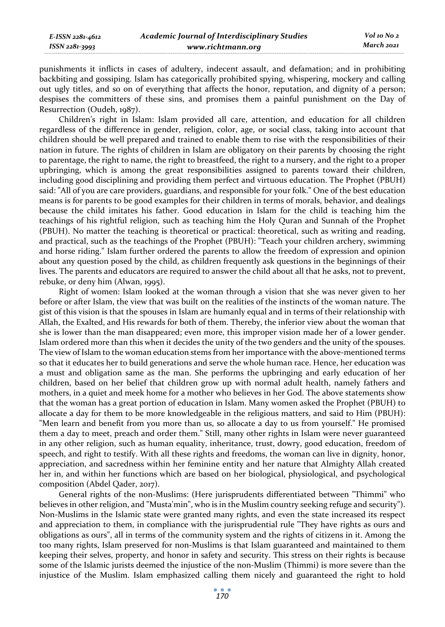punishments it inflicts in cases of adultery, indecent assault, and defamation; and in prohibiting backbiting and gossiping. Islam has categorically prohibited spying, whispering, mockery and calling out ugly titles, and so on of everything that affects the honor, reputation, and dignity of a person; despises the committers of these sins, and promises them a painful punishment on the Day of Resurrection (Oudeh, 1987).

Children's right in Islam: Islam provided all care, attention, and education for all children regardless of the difference in gender, religion, color, age, or social class, taking into account that children should be well prepared and trained to enable them to rise with the responsibilities of their nation in future. The rights of children in Islam are obligatory on their parents by choosing the right to parentage, the right to name, the right to breastfeed, the right to a nursery, and the right to a proper upbringing, which is among the great responsibilities assigned to parents toward their children, including good disciplining and providing them perfect and virtuous education. The Prophet (PBUH) said: "All of you are care providers, guardians, and responsible for your folk." One of the best education means is for parents to be good examples for their children in terms of morals, behavior, and dealings because the child imitates his father. Good education in Islam for the child is teaching him the teachings of his rightful religion, such as teaching him the Holy Quran and Sunnah of the Prophet (PBUH). No matter the teaching is theoretical or practical: theoretical, such as writing and reading, and practical, such as the teachings of the Prophet (PBUH): "Teach your children archery, swimming and horse riding." Islam further ordered the parents to allow the freedom of expression and opinion about any question posed by the child, as children frequently ask questions in the beginnings of their lives. The parents and educators are required to answer the child about all that he asks, not to prevent, rebuke, or deny him (Alwan, 1995).

Right of women: Islam looked at the woman through a vision that she was never given to her before or after Islam, the view that was built on the realities of the instincts of the woman nature. The gist of this vision is that the spouses in Islam are humanly equal and in terms of their relationship with Allah, the Exalted, and His rewards for both of them. Thereby, the inferior view about the woman that she is lower than the man disappeared; even more, this improper vision made her of a lower gender. Islam ordered more than this when it decides the unity of the two genders and the unity of the spouses. The view of Islam to the woman education stems from her importance with the above-mentioned terms so that it educates her to build generations and serve the whole human race. Hence, her education was a must and obligation same as the man. She performs the upbringing and early education of her children, based on her belief that children grow up with normal adult health, namely fathers and mothers, in a quiet and meek home for a mother who believes in her God. The above statements show that the woman has a great portion of education in Islam. Many women asked the Prophet (PBUH) to allocate a day for them to be more knowledgeable in the religious matters, and said to Him (PBUH): "Men learn and benefit from you more than us, so allocate a day to us from yourself." He promised them a day to meet, preach and order them." Still, many other rights in Islam were never guaranteed in any other religion, such as human equality, inheritance, trust, dowry, good education, freedom of speech, and right to testify. With all these rights and freedoms, the woman can live in dignity, honor, appreciation, and sacredness within her feminine entity and her nature that Almighty Allah created her in, and within her functions which are based on her biological, physiological, and psychological composition (Abdel Qader, 2017).

General rights of the non-Muslims: (Here jurisprudents differentiated between "Thimmi" who believes in other religion, and "Musta'min", who is in the Muslim country seeking refuge and security"). Non-Muslims in the Islamic state were granted many rights, and even the state increased its respect and appreciation to them, in compliance with the jurisprudential rule "They have rights as ours and obligations as ours", all in terms of the community system and the rights of citizens in it. Among the too many rights, Islam preserved for non-Muslims is that Islam guaranteed and maintained to them keeping their selves, property, and honor in safety and security. This stress on their rights is because some of the Islamic jurists deemed the injustice of the non-Muslim (Thimmi) is more severe than the injustice of the Muslim. Islam emphasized calling them nicely and guaranteed the right to hold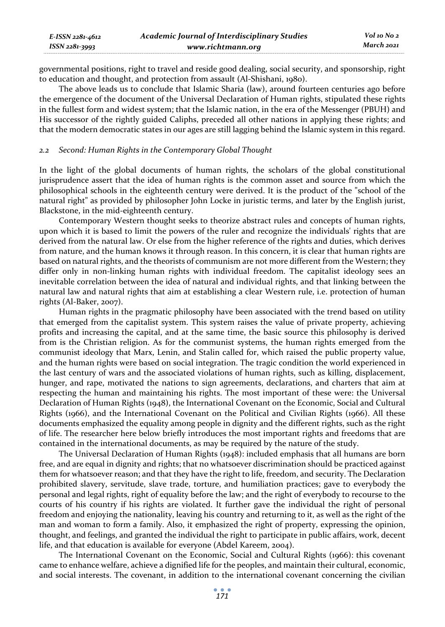| E-ISSN 2281-4612 | Academic Journal of Interdisciplinary Studies | Vol 10 No 2 |
|------------------|-----------------------------------------------|-------------|
| ISSN 2281-3993   | www.richtmann.org                             | March 2021  |

governmental positions, right to travel and reside good dealing, social security, and sponsorship, right to education and thought, and protection from assault (Al-Shishani, 1980).

The above leads us to conclude that Islamic Sharia (law), around fourteen centuries ago before the emergence of the document of the Universal Declaration of Human rights, stipulated these rights in the fullest form and widest system; that the Islamic nation, in the era of the Messenger (PBUH) and His successor of the rightly guided Caliphs, preceded all other nations in applying these rights; and that the modern democratic states in our ages are still lagging behind the Islamic system in this regard.

#### *2.2 Second: Human Rights in the Contemporary Global Thought*

In the light of the global documents of human rights, the scholars of the global constitutional jurisprudence assert that the idea of human rights is the common asset and source from which the philosophical schools in the eighteenth century were derived. It is the product of the "school of the natural right" as provided by philosopher John Locke in juristic terms, and later by the English jurist, Blackstone, in the mid-eighteenth century.

Contemporary Western thought seeks to theorize abstract rules and concepts of human rights, upon which it is based to limit the powers of the ruler and recognize the individuals' rights that are derived from the natural law. Or else from the higher reference of the rights and duties, which derives from nature, and the human knows it through reason. In this concern, it is clear that human rights are based on natural rights, and the theorists of communism are not more different from the Western; they differ only in non-linking human rights with individual freedom. The capitalist ideology sees an inevitable correlation between the idea of natural and individual rights, and that linking between the natural law and natural rights that aim at establishing a clear Western rule, i.e. protection of human rights (Al-Baker, 2007).

Human rights in the pragmatic philosophy have been associated with the trend based on utility that emerged from the capitalist system. This system raises the value of private property, achieving profits and increasing the capital, and at the same time, the basic source this philosophy is derived from is the Christian religion. As for the communist systems, the human rights emerged from the communist ideology that Marx, Lenin, and Stalin called for, which raised the public property value, and the human rights were based on social integration. The tragic condition the world experienced in the last century of wars and the associated violations of human rights, such as killing, displacement, hunger, and rape, motivated the nations to sign agreements, declarations, and charters that aim at respecting the human and maintaining his rights. The most important of these were: the Universal Declaration of Human Rights (1948), the International Covenant on the Economic, Social and Cultural Rights (1966), and the International Covenant on the Political and Civilian Rights (1966). All these documents emphasized the equality among people in dignity and the different rights, such as the right of life. The researcher here below briefly introduces the most important rights and freedoms that are contained in the international documents, as may be required by the nature of the study.

The Universal Declaration of Human Rights (1948): included emphasis that all humans are born free, and are equal in dignity and rights; that no whatsoever discrimination should be practiced against them for whatsoever reason; and that they have the right to life, freedom, and security. The Declaration prohibited slavery, servitude, slave trade, torture, and humiliation practices; gave to everybody the personal and legal rights, right of equality before the law; and the right of everybody to recourse to the courts of his country if his rights are violated. It further gave the individual the right of personal freedom and enjoying the nationality, leaving his country and returning to it, as well as the right of the man and woman to form a family. Also, it emphasized the right of property, expressing the opinion, thought, and feelings, and granted the individual the right to participate in public affairs, work, decent life, and that education is available for everyone (Abdel Kareem, 2004).

The International Covenant on the Economic, Social and Cultural Rights (1966): this covenant came to enhance welfare, achieve a dignified life for the peoples, and maintain their cultural, economic, and social interests. The covenant, in addition to the international covenant concerning the civilian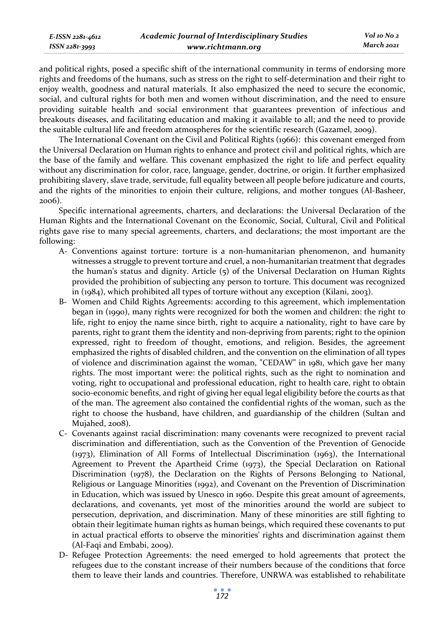| E-ISSN 2281-4612 | <b>Academic Journal of Interdisciplinary Studies</b> | Vol 10 No 2 |
|------------------|------------------------------------------------------|-------------|
| ISSN 2281-3993   | www.richtmann.org                                    | March 2021  |

and political rights, posed a specific shift of the international community in terms of endorsing more rights and freedoms of the humans, such as stress on the right to self-determination and their right to enjoy wealth, goodness and natural materials. It also emphasized the need to secure the economic, social, and cultural rights for both men and women without discrimination, and the need to ensure providing suitable health and social environment that guarantees prevention of infectious and breakouts diseases, and facilitating education and making it available to all; and the need to provide the suitable cultural life and freedom atmospheres for the scientific research (Gazamel, 2009).

The International Covenant on the Civil and Political Rights (1966): this covenant emerged from the Universal Declaration on Human rights to enhance and protect civil and political rights, which are the base of the family and welfare. This covenant emphasized the right to life and perfect equality without any discrimination for color, race, language, gender, doctrine, or origin. It further emphasized prohibiting slavery, slave trade, servitude, full equality between all people before judicature and courts, and the rights of the minorities to enjoin their culture, religions, and mother tongues (Al-Basheer, 2006).

Specific international agreements, charters, and declarations: the Universal Declaration of the Human Rights and the International Covenant on the Economic, Social, Cultural, Civil and Political rights gave rise to many special agreements, charters, and declarations; the most important are the following:

- A- Conventions against torture: torture is a non-humanitarian phenomenon, and humanity witnesses a struggle to prevent torture and cruel, a non-humanitarian treatment that degrades the human's status and dignity. Article (5) of the Universal Declaration on Human Rights provided the prohibition of subjecting any person to torture. This document was recognized in (1984), which prohibited all types of torture without any exception (Kilani, 2003).
- B- Women and Child Rights Agreements: according to this agreement, which implementation began in (1990), many rights were recognized for both the women and children: the right to life, right to enjoy the name since birth, right to acquire a nationality, right to have care by parents, right to grant them the identity and non-depriving from parents; right to the opinion expressed, right to freedom of thought, emotions, and religion. Besides, the agreement emphasized the rights of disabled children, and the convention on the elimination of all types of violence and discrimination against the woman, "CEDAW" in 1981, which gave her many rights. The most important were: the political rights, such as the right to nomination and voting, right to occupational and professional education, right to health care, right to obtain socio-economic benefits, and right of giving her equal legal eligibility before the courts as that of the man. The agreement also contained the confidential rights of the woman, such as the right to choose the husband, have children, and guardianship of the children (Sultan and Mujahed, 2008).
- C- Covenants against racial discrimination: many covenants were recognized to prevent racial discrimination and differentiation, such as the Convention of the Prevention of Genocide (1973), Elimination of All Forms of Intellectual Discrimination (1963), the International Agreement to Prevent the Apartheid Crime (1973), the Special Declaration on Rational Discrimination (1978), the Declaration on the Rights of Persons Belonging to National, Religious or Language Minorities (1992), and Covenant on the Prevention of Discrimination in Education, which was issued by Unesco in 1960. Despite this great amount of agreements, declarations, and covenants, yet most of the minorities around the world are subject to persecution, deprivation, and discrimination. Many of these minorities are still fighting to obtain their legitimate human rights as human beings, which required these covenants to put in actual practical efforts to observe the minorities' rights and discrimination against them (Al-Faqi and Embabi, 2009).
- D- Refugee Protection Agreements: the need emerged to hold agreements that protect the refugees due to the constant increase of their numbers because of the conditions that force them to leave their lands and countries. Therefore, UNRWA was established to rehabilitate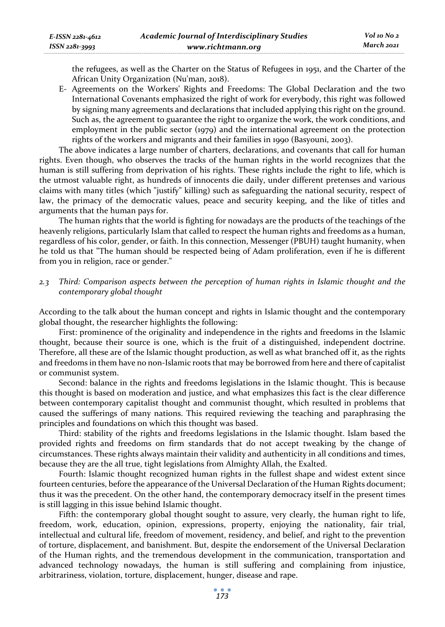the refugees, as well as the Charter on the Status of Refugees in 1951, and the Charter of the African Unity Organization (Nu'man, 2018).

E- Agreements on the Workers' Rights and Freedoms: The Global Declaration and the two International Covenants emphasized the right of work for everybody, this right was followed by signing many agreements and declarations that included applying this right on the ground. Such as, the agreement to guarantee the right to organize the work, the work conditions, and employment in the public sector (1979) and the international agreement on the protection rights of the workers and migrants and their families in 1990 (Basyouni, 2003).

The above indicates a large number of charters, declarations, and covenants that call for human rights. Even though, who observes the tracks of the human rights in the world recognizes that the human is still suffering from deprivation of his rights. These rights include the right to life, which is the utmost valuable right, as hundreds of innocents die daily, under different pretenses and various claims with many titles (which "justify" killing) such as safeguarding the national security, respect of law, the primacy of the democratic values, peace and security keeping, and the like of titles and arguments that the human pays for.

The human rights that the world is fighting for nowadays are the products of the teachings of the heavenly religions, particularly Islam that called to respect the human rights and freedoms as a human, regardless of his color, gender, or faith. In this connection, Messenger (PBUH) taught humanity, when he told us that "The human should be respected being of Adam proliferation, even if he is different from you in religion, race or gender."

*2.3 Third: Comparison aspects between the perception of human rights in Islamic thought and the contemporary global thought* 

According to the talk about the human concept and rights in Islamic thought and the contemporary global thought, the researcher highlights the following:

First: prominence of the originality and independence in the rights and freedoms in the Islamic thought, because their source is one, which is the fruit of a distinguished, independent doctrine. Therefore, all these are of the Islamic thought production, as well as what branched off it, as the rights and freedoms in them have no non-Islamic roots that may be borrowed from here and there of capitalist or communist system.

Second: balance in the rights and freedoms legislations in the Islamic thought. This is because this thought is based on moderation and justice, and what emphasizes this fact is the clear difference between contemporary capitalist thought and communist thought, which resulted in problems that caused the sufferings of many nations. This required reviewing the teaching and paraphrasing the principles and foundations on which this thought was based.

Third: stability of the rights and freedoms legislations in the Islamic thought. Islam based the provided rights and freedoms on firm standards that do not accept tweaking by the change of circumstances. These rights always maintain their validity and authenticity in all conditions and times, because they are the all true, tight legislations from Almighty Allah, the Exalted.

Fourth: Islamic thought recognized human rights in the fullest shape and widest extent since fourteen centuries, before the appearance of the Universal Declaration of the Human Rights document; thus it was the precedent. On the other hand, the contemporary democracy itself in the present times is still lagging in this issue behind Islamic thought.

Fifth: the contemporary global thought sought to assure, very clearly, the human right to life, freedom, work, education, opinion, expressions, property, enjoying the nationality, fair trial, intellectual and cultural life, freedom of movement, residency, and belief, and right to the prevention of torture, displacement, and banishment. But, despite the endorsement of the Universal Declaration of the Human rights, and the tremendous development in the communication, transportation and advanced technology nowadays, the human is still suffering and complaining from injustice, arbitrariness, violation, torture, displacement, hunger, disease and rape.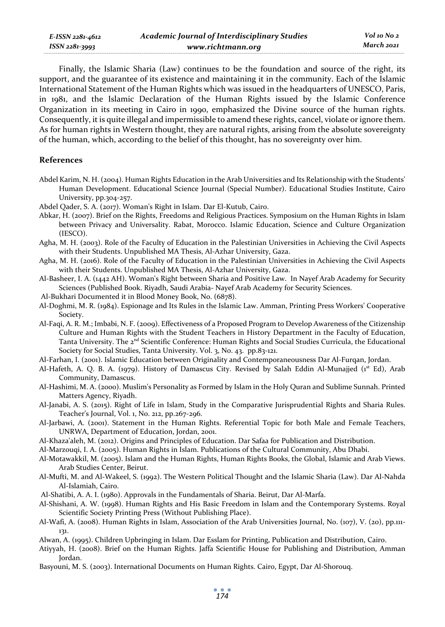| E-ISSN 2281-4612 | <b>Academic Journal of Interdisciplinary Studies</b> |  |
|------------------|------------------------------------------------------|--|
| ISSN 2281-3993   | www.richtmann.org                                    |  |

Finally, the Islamic Sharia (Law) continues to be the foundation and source of the right, its support, and the guarantee of its existence and maintaining it in the community. Each of the Islamic International Statement of the Human Rights which was issued in the headquarters of UNESCO, Paris, in 1981, and the Islamic Declaration of the Human Rights issued by the Islamic Conference Organization in its meeting in Cairo in 1990, emphasized the Divine source of the human rights. Consequently, it is quite illegal and impermissible to amend these rights, cancel, violate or ignore them. As for human rights in Western thought, they are natural rights, arising from the absolute sovereignty of the human, which, according to the belief of this thought, has no sovereignty over him.

# **References**

- Abdel Karim, N. H. (2004). Human Rights Education in the Arab Universities and Its Relationship with the Students' Human Development. Educational Science Journal (Special Number). Educational Studies Institute, Cairo University, pp.304-257.
- Abdel Qader, S. A. (2017). Woman's Right in Islam. Dar El-Kutub, Cairo.
- Abkar, H. (2007). Brief on the Rights, Freedoms and Religious Practices. Symposium on the Human Rights in Islam between Privacy and Universality. Rabat, Morocco. Islamic Education, Science and Culture Organization (IESCO).
- Agha, M. H. (2003). Role of the Faculty of Education in the Palestinian Universities in Achieving the Civil Aspects with their Students. Unpublished MA Thesis, Al-Azhar University, Gaza.
- Agha, M. H. (2016). Role of the Faculty of Education in the Palestinian Universities in Achieving the Civil Aspects with their Students. Unpublished MA Thesis, Al-Azhar University, Gaza.
- Al-Basheer, I. A. (1442 AH). Woman's Right between Sharia and Positive Law. In Nayef Arab Academy for Security Sciences (Published Book. Riyadh, Saudi Arabia- Nayef Arab Academy for Security Sciences.
- Al-Bukhari Documented it in Blood Money Book, No. (6878).
- Al-Doghmi, M. R. (1984). Espionage and Its Rules in the Islamic Law. Amman, Printing Press Workers' Cooperative Society.
- Al-Faqi, A. R. M.; Imbabi, N. F. (2009). Effectiveness of a Proposed Program to Develop Awareness of the Citizenship Culture and Human Rights with the Student Teachers in History Department in the Faculty of Education, Tanta University. The 2<sup>nd</sup> Scientific Conference: Human Rights and Social Studies Curricula, the Educational Society for Social Studies, Tanta University. Vol. 3, No. 43. pp.83-121.
- Al-Farhan, I. (2001). Islamic Education between Originality and Contemporaneousness Dar Al-Furqan, Jordan.
- Al-Hafeth, A. Q. B. A. (1979). History of Damascus City. Revised by Salah Eddin Al-Munajjed (1st Ed), Arab Community, Damascus.
- Al-Hashimi, M. A. (2000). Muslim's Personality as Formed by Islam in the Holy Quran and Sublime Sunnah. Printed Matters Agency, Riyadh.
- Al-Janabi, A. S. (2015). Right of Life in Islam, Study in the Comparative Jurisprudential Rights and Sharia Rules. Teacher's Journal, Vol. 1, No. 212, pp.267-296.
- Al-Jarbawi, A. (2001). Statement in the Human Rights. Referential Topic for both Male and Female Teachers, UNRWA, Department of Education, Jordan, 2001.
- Al-Khaza'aleh, M. (2012). Origins and Principles of Education. Dar Safaa for Publication and Distribution.
- Al-Marzouqi, I. A. (2005). Human Rights in Islam. Publications of the Cultural Community, Abu Dhabi.
- Al-Motawakkil, M. (2005). Islam and the Human Rights, Human Rights Books, the Global, Islamic and Arab Views. Arab Studies Center, Beirut.
- Al-Mufti, M. and Al-Wakeel, S. (1992). The Western Political Thought and the Islamic Sharia (Law). Dar Al-Nahda Al-Islamiah, Cairo.
- Al-Shatibi, A. A. I. (1980). Approvals in the Fundamentals of Sharia. Beirut, Dar Al-Marfa.
- Al-Shishani, A. W. (1998). Human Rights and His Basic Freedom in Islam and the Contemporary Systems. Royal Scientific Society Printing Press (Without Publishing Place).
- Al-Wafi, A. (2008). Human Rights in Islam, Association of the Arab Universities Journal, No. (107), V. (20), pp.111- 131.
- Alwan, A. (1995). Children Upbringing in Islam. Dar Esslam for Printing, Publication and Distribution, Cairo.
- Atiyyah, H. (2008). Brief on the Human Rights. Jaffa Scientific House for Publishing and Distribution, Amman Jordan.
- Basyouni, M. S. (2003). International Documents on Human Rights. Cairo, Egypt, Dar Al-Shorouq.